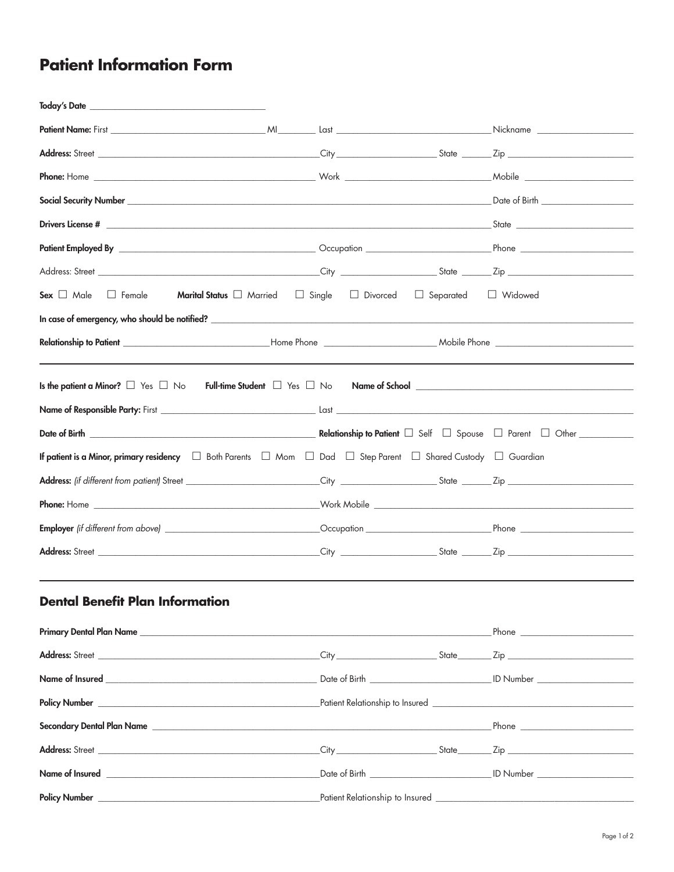## **Patient Information Form**

| <b>Today's Date</b> to the contract of the contract of the contract of the contract of the contract of the contract of the contract of the contract of the contract of the contract of the contract of the contract of the contract |                              |           |  |  |
|-------------------------------------------------------------------------------------------------------------------------------------------------------------------------------------------------------------------------------------|------------------------------|-----------|--|--|
|                                                                                                                                                                                                                                     |                              |           |  |  |
|                                                                                                                                                                                                                                     |                              |           |  |  |
|                                                                                                                                                                                                                                     |                              |           |  |  |
|                                                                                                                                                                                                                                     |                              |           |  |  |
|                                                                                                                                                                                                                                     |                              |           |  |  |
|                                                                                                                                                                                                                                     |                              |           |  |  |
|                                                                                                                                                                                                                                     |                              |           |  |  |
| Marital Status   Married<br>Sex $\Box$ Male<br>$\Box$ Female<br>$\Box$ Single                                                                                                                                                       | Divorced<br>$\Box$ Separated | □ Widowed |  |  |
|                                                                                                                                                                                                                                     |                              |           |  |  |
|                                                                                                                                                                                                                                     |                              |           |  |  |
| Is the patient a Minor? $\Box$ Yes $\Box$ No                                                                                                                                                                                        |                              |           |  |  |
|                                                                                                                                                                                                                                     |                              |           |  |  |
|                                                                                                                                                                                                                                     |                              |           |  |  |
| <b>If patient is a Minor, primary residency</b> $\Box$ Both Parents $\Box$ Mom $\Box$ Dad $\Box$ Step Parent $\Box$ Shared Custody $\Box$ Guardian                                                                                  |                              |           |  |  |
|                                                                                                                                                                                                                                     |                              |           |  |  |
|                                                                                                                                                                                                                                     |                              |           |  |  |
|                                                                                                                                                                                                                                     |                              |           |  |  |
|                                                                                                                                                                                                                                     |                              |           |  |  |
| <b>Dental Benefit Plan Information</b>                                                                                                                                                                                              |                              |           |  |  |
|                                                                                                                                                                                                                                     |                              |           |  |  |
|                                                                                                                                                                                                                                     |                              |           |  |  |
|                                                                                                                                                                                                                                     |                              |           |  |  |
|                                                                                                                                                                                                                                     |                              |           |  |  |
|                                                                                                                                                                                                                                     |                              |           |  |  |
|                                                                                                                                                                                                                                     |                              |           |  |  |
|                                                                                                                                                                                                                                     |                              |           |  |  |
|                                                                                                                                                                                                                                     |                              |           |  |  |